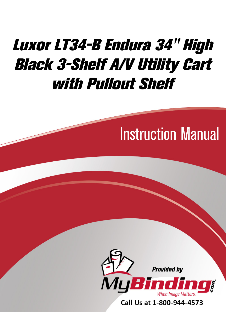## Luxor LT34-B Endura 34" High **Black 3-Shelf A/V Utility Cart** with Pullout Shelf

## **Instruction Manual**



Call Us at 1-800-944-4573